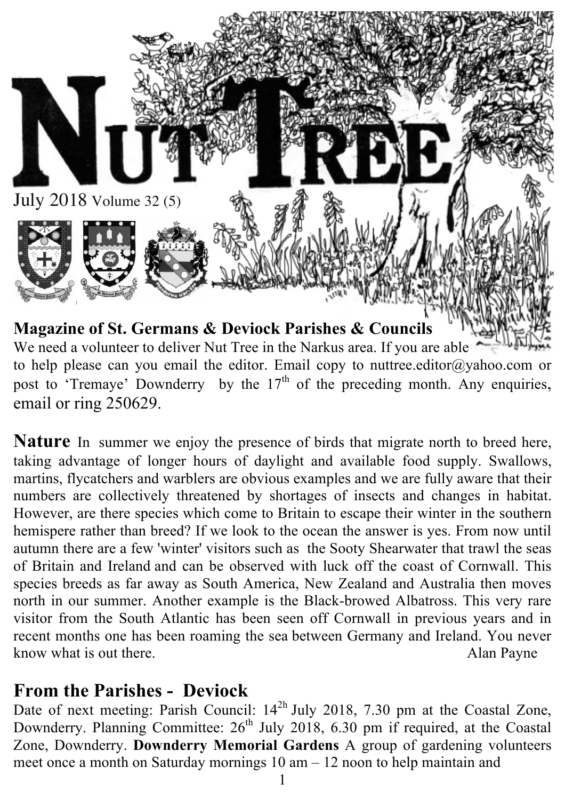

to help please can you email the editor. Email copy to nuttree.editor@yahoo.com or post to 'Tremaye' Downderry by the  $17<sup>th</sup>$  of the preceding month. Any enquiries, email or ring 250629.

**Nature** In summer we enjoy the presence of birds that migrate north to breed here, taking advantage of longer hours of daylight and available food supply. Swallows, martins, flycatchers and warblers are obvious examples and we are fully aware that their numbers are collectively threatened by shortages of insects and changes in habitat. However, are there species which come to Britain to escape their winter in the southern hemispere rather than breed? If we look to the ocean the answer is yes. From now until autumn there are a few 'winter' visitors such as the Sooty Shearwater that trawl the seas of Britain and Ireland and can be observed with luck off the coast of Cornwall. This species breeds as far away as South America, New Zealand and Australia then moves north in our summer. Another example is the Black-browed Albatross. This very rare visitor from the South Atlantic has been seen off Cornwall in previous years and in recent months one has been roaming the sea between Germany and Ireland. You never know what is out there. Alan Payne

#### **From the Parishes - Deviock**

Date of next meeting: Parish Council:  $14<sup>2h</sup>$  July 2018, 7.30 pm at the Coastal Zone, Downderry. Planning Committee:  $26<sup>th</sup>$  July 2018, 6.30 pm if required, at the Coastal Zone, Downderry. **Downderry Memorial Gardens** A group of gardening volunteers meet once a month on Saturday mornings 10 am – 12 noon to help maintain and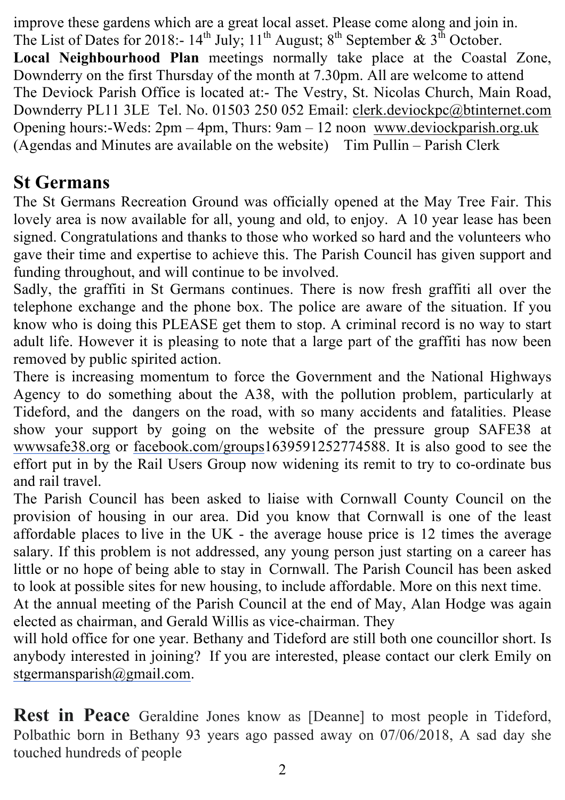improve these gardens which are a great local asset. Please come along and join in. The List of Dates for 2018:-  $14^{th}$  July;  $11^{th}$  August;  $8^{th}$  September &  $3^{th}$  October. **Local Neighbourhood Plan** meetings normally take place at the Coastal Zone, Downderry on the first Thursday of the month at 7.30pm. All are welcome to attend The Deviock Parish Office is located at:- The Vestry, St. Nicolas Church, Main Road, Downderry PL11 3LE Tel. No. 01503 250 052 Email: clerk.deviockpc@btinternet.com Opening hours:-Weds: 2pm – 4pm, Thurs: 9am – 12 noon www.deviockparish.org.uk (Agendas and Minutes are available on the website) Tim Pullin – Parish Clerk

# **St Germans**

The St Germans Recreation Ground was officially opened at the May Tree Fair. This lovely area is now available for all, young and old, to enjoy. A 10 year lease has been signed. Congratulations and thanks to those who worked so hard and the volunteers who gave their time and expertise to achieve this. The Parish Council has given support and funding throughout, and will continue to be involved.

Sadly, the graffiti in St Germans continues. There is now fresh graffiti all over the telephone exchange and the phone box. The police are aware of the situation. If you know who is doing this PLEASE get them to stop. A criminal record is no way to start adult life. However it is pleasing to note that a large part of the graffiti has now been removed by public spirited action.

There is increasing momentum to force the Government and the National Highways Agency to do something about the A38, with the pollution problem, particularly at Tideford, and the dangers on the road, with so many accidents and fatalities. Please show your support by going on the website of the pressure group SAFE38 at wwwsafe38.org or facebook.com/groups1639591252774588. It is also good to see the effort put in by the Rail Users Group now widening its remit to try to co-ordinate bus and rail travel.

The Parish Council has been asked to liaise with Cornwall County Council on the provision of housing in our area. Did you know that Cornwall is one of the least affordable places to live in the UK - the average house price is 12 times the average salary. If this problem is not addressed, any young person just starting on a career has little or no hope of being able to stay in Cornwall. The Parish Council has been asked to look at possible sites for new housing, to include affordable. More on this next time.

At the annual meeting of the Parish Council at the end of May, Alan Hodge was again elected as chairman, and Gerald Willis as vice-chairman. They

will hold office for one year. Bethany and Tideford are still both one councillor short. Is anybody interested in joining? If you are interested, please contact our clerk Emily on stgermansparish@gmail.com.

**Rest in Peace** Geraldine Jones know as [Deanne] to most people in Tideford, Polbathic born in Bethany 93 years ago passed away on 07/06/2018, A sad day she touched hundreds of people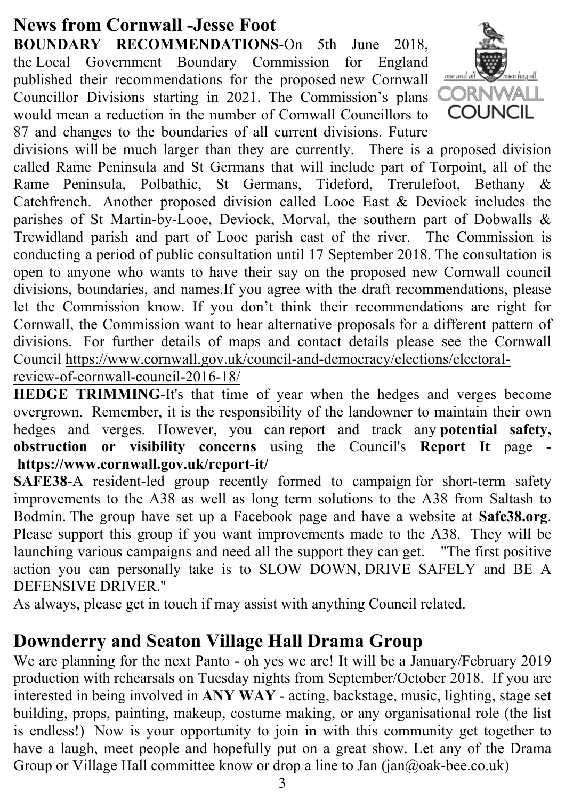# **News from Cornwall -Jesse Foot**

**BOUNDARY RECOMMENDATIONS**-On 5th June 2018, the Local Government Boundary Commission for England published their recommendations for the proposed new Cornwall Councillor Divisions starting in 2021. The Commission's plans would mean a reduction in the number of Cornwall Councillors to 87 and changes to the boundaries of all current divisions. Future



divisions will be much larger than they are currently. There is a proposed division called Rame Peninsula and St Germans that will include part of Torpoint, all of the Rame Peninsula, Polbathic, St Germans, Tideford, Trerulefoot, Bethany & Catchfrench. Another proposed division called Looe East & Deviock includes the parishes of St Martin-by-Looe, Deviock, Morval, the southern part of Dobwalls & Trewidland parish and part of Looe parish east of the river. The Commission is conducting a period of public consultation until 17 September 2018. The consultation is open to anyone who wants to have their say on the proposed new Cornwall council divisions, boundaries, and names.If you agree with the draft recommendations, please let the Commission know. If you don't think their recommendations are right for Cornwall, the Commission want to hear alternative proposals for a different pattern of divisions. For further details of maps and contact details please see the Cornwall Council https://www.cornwall.gov.uk/council-and-democracy/elections/electoralreview-of-cornwall-council-2016-18/

**HEDGE TRIMMING**-It's that time of year when the hedges and verges become overgrown. Remember, it is the responsibility of the landowner to maintain their own hedges and verges. However, you can report and track any **potential safety, obstruction or visibility concerns** using the Council's **Report It** page  **https://www.cornwall.gov.uk/report-it/**

**SAFE38-A** resident-led group recently formed to campaign for short-term safety improvements to the A38 as well as long term solutions to the A38 from Saltash to Bodmin. The group have set up a Facebook page and have a website at **Safe38.org**. Please support this group if you want improvements made to the A38. They will be launching various campaigns and need all the support they can get. "The first positive action you can personally take is to SLOW DOWN, DRIVE SAFELY and BE A DEFENSIVE DRIVER."

As always, please get in touch if may assist with anything Council related.

# **Downderry and Seaton Village Hall Drama Group**

We are planning for the next Panto - oh yes we are! It will be a January/February 2019 production with rehearsals on Tuesday nights from September/October 2018. If you are interested in being involved in **ANY WAY** - acting, backstage, music, lighting, stage set building, props, painting, makeup, costume making, or any organisational role (the list is endless!) Now is your opportunity to join in with this community get together to have a laugh, meet people and hopefully put on a great show. Let any of the Drama Group or Village Hall committee know or drop a line to Jan (jan@oak-bee.co.uk)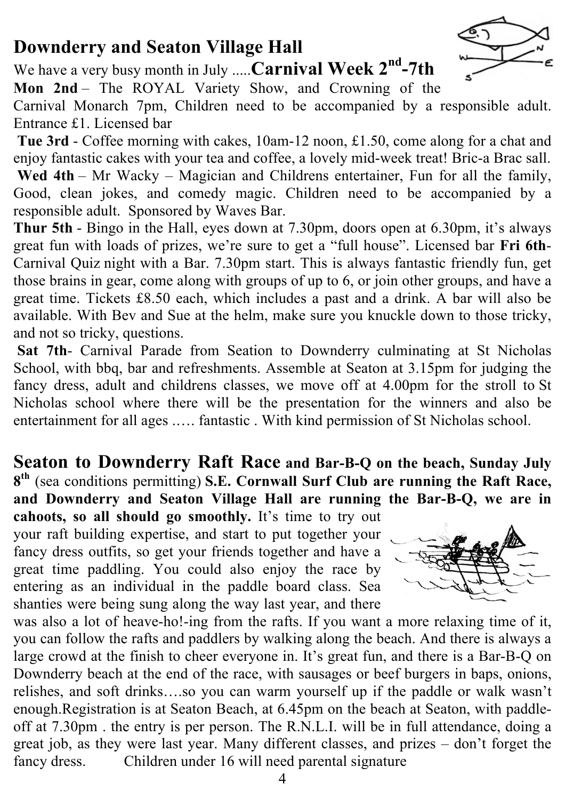# **Downderry and Seaton Village Hall**

We have a very busy month in July .....**Carnival Week 2nd-7th**



**Mon 2nd** – The ROYAL Variety Show, and Crowning of the

Carnival Monarch 7pm, Children need to be accompanied by a responsible adult. Entrance £1. Licensed bar

**Tue 3rd** - Coffee morning with cakes, 10am-12 noon, £1.50, come along for a chat and enjoy fantastic cakes with your tea and coffee, a lovely mid-week treat! Bric-a Brac sall. **Wed 4th** – Mr Wacky – Magician and Childrens entertainer, Fun for all the family, Good, clean jokes, and comedy magic. Children need to be accompanied by a

responsible adult. Sponsored by Waves Bar.

**Thur 5th** - Bingo in the Hall, eyes down at 7.30pm, doors open at 6.30pm, it's always great fun with loads of prizes, we're sure to get a "full house". Licensed bar **Fri 6th**-Carnival Quiz night with a Bar. 7.30pm start. This is always fantastic friendly fun, get those brains in gear, come along with groups of up to 6, or join other groups, and have a great time. Tickets £8.50 each, which includes a past and a drink. A bar will also be available. With Bev and Sue at the helm, make sure you knuckle down to those tricky, and not so tricky, questions.

**Sat 7th**- Carnival Parade from Seation to Downderry culminating at St Nicholas School, with bbq, bar and refreshments. Assemble at Seaton at 3.15pm for judging the fancy dress, adult and childrens classes, we move off at 4.00pm for the stroll to St Nicholas school where there will be the presentation for the winners and also be entertainment for all ages .…. fantastic . With kind permission of St Nicholas school.

**Seaton to Downderry Raft Race and Bar-B-Q on the beach, Sunday July 8th** (sea conditions permitting) **S.E. Cornwall Surf Club are running the Raft Race, and Downderry and Seaton Village Hall are running the Bar-B-Q, we are in** 

**cahoots, so all should go smoothly.** It's time to try out your raft building expertise, and start to put together your fancy dress outfits, so get your friends together and have a great time paddling. You could also enjoy the race by entering as an individual in the paddle board class. Sea shanties were being sung along the way last year, and there



was also a lot of heave-ho!-ing from the rafts. If you want a more relaxing time of it, you can follow the rafts and paddlers by walking along the beach. And there is always a large crowd at the finish to cheer everyone in. It's great fun, and there is a Bar-B-Q on Downderry beach at the end of the race, with sausages or beef burgers in baps, onions, relishes, and soft drinks….so you can warm yourself up if the paddle or walk wasn't enough.Registration is at Seaton Beach, at 6.45pm on the beach at Seaton, with paddleoff at 7.30pm . the entry is per person. The R.N.L.I. will be in full attendance, doing a great job, as they were last year. Many different classes, and prizes – don't forget the fancy dress. Children under 16 will need parental signature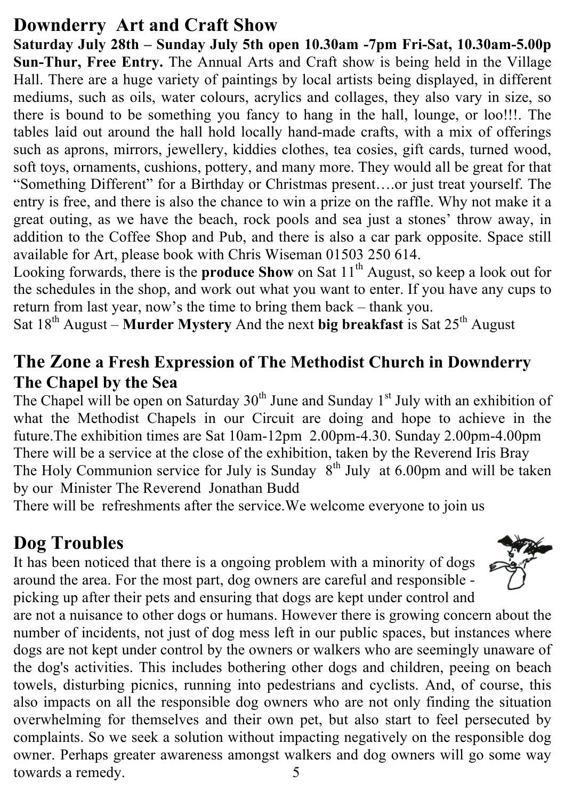## **Downderry Art and Craft Show**

**Saturday July 28th – Sunday July 5th open 10.30am -7pm Fri-Sat, 10.30am-5.00p Sun-Thur, Free Entry.** The Annual Arts and Craft show is being held in the Village Hall. There are a huge variety of paintings by local artists being displayed, in different mediums, such as oils, water colours, acrylics and collages, they also vary in size, so there is bound to be something you fancy to hang in the hall, lounge, or loo!!!. The tables laid out around the hall hold locally hand-made crafts, with a mix of offerings such as aprons, mirrors, jewellery, kiddies clothes, tea cosies, gift cards, turned wood, soft toys, ornaments, cushions, pottery, and many more. They would all be great for that "Something Different" for a Birthday or Christmas present….or just treat yourself. The entry is free, and there is also the chance to win a prize on the raffle. Why not make it a great outing, as we have the beach, rock pools and sea just a stones' throw away, in addition to the Coffee Shop and Pub, and there is also a car park opposite. Space still available for Art, please book with Chris Wiseman 01503 250 614.

Looking forwards, there is the **produce Show** on Sat 11<sup>th</sup> August, so keep a look out for the schedules in the shop, and work out what you want to enter. If you have any cups to return from last year, now's the time to bring them back – thank you.

Sat 18<sup>th</sup> August – **Murder Mystery** And the next big breakfast is Sat 25<sup>th</sup> August

#### **The Zone a Fresh Expression of The Methodist Church in Downderry The Chapel by the Sea**

The Chapel will be open on Saturday  $30<sup>th</sup>$  June and Sunday 1<sup>st</sup> July with an exhibition of what the Methodist Chapels in our Circuit are doing and hope to achieve in the future.The exhibition times are Sat 10am-12pm 2.00pm-4.30. Sunday 2.00pm-4.00pm There will be a service at the close of the exhibition, taken by the Reverend Iris Bray The Holy Communion service for July is Sunday  $8<sup>th</sup>$  July at 6.00pm and will be taken by our Minister The Reverend Jonathan Budd

There will be refreshments after the service.We welcome everyone to join us

# **Dog Troubles**

It has been noticed that there is a ongoing problem with a minority of dogs around the area. For the most part, dog owners are careful and responsible picking up after their pets and ensuring that dogs are kept under control and



are not a nuisance to other dogs or humans. However there is growing concern about the number of incidents, not just of dog mess left in our public spaces, but instances where dogs are not kept under control by the owners or walkers who are seemingly unaware of the dog's activities. This includes bothering other dogs and children, peeing on beach towels, disturbing picnics, running into pedestrians and cyclists. And, of course, this also impacts on all the responsible dog owners who are not only finding the situation overwhelming for themselves and their own pet, but also start to feel persecuted by complaints. So we seek a solution without impacting negatively on the responsible dog owner. Perhaps greater awareness amongst walkers and dog owners will go some way towards a remedy. 5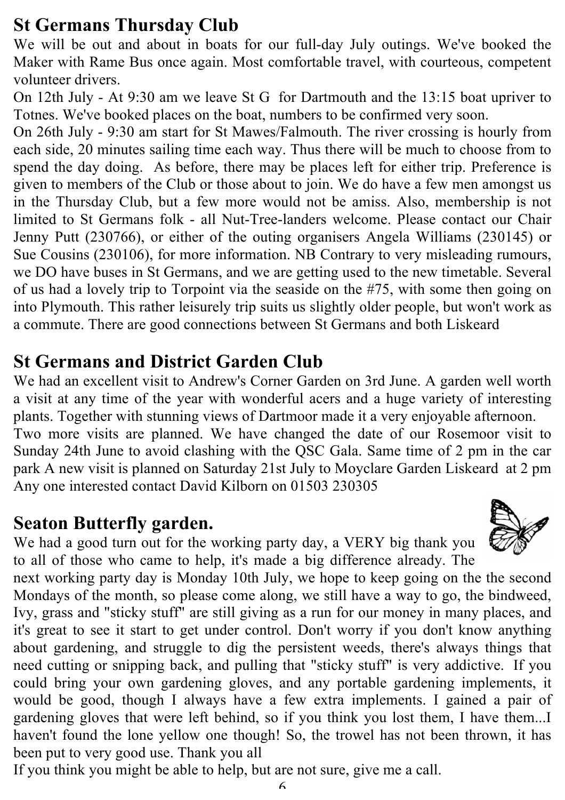#### **St Germans Thursday Club**

We will be out and about in boats for our full-day July outings. We've booked the Maker with Rame Bus once again. Most comfortable travel, with courteous, competent volunteer drivers.

On 12th July - At 9:30 am we leave St G for Dartmouth and the 13:15 boat upriver to Totnes. We've booked places on the boat, numbers to be confirmed very soon.

On 26th July - 9:30 am start for St Mawes/Falmouth. The river crossing is hourly from each side, 20 minutes sailing time each way. Thus there will be much to choose from to spend the day doing. As before, there may be places left for either trip. Preference is given to members of the Club or those about to join. We do have a few men amongst us in the Thursday Club, but a few more would not be amiss. Also, membership is not limited to St Germans folk - all Nut-Tree-landers welcome. Please contact our Chair Jenny Putt (230766), or either of the outing organisers Angela Williams (230145) or Sue Cousins (230106), for more information. NB Contrary to very misleading rumours, we DO have buses in St Germans, and we are getting used to the new timetable. Several of us had a lovely trip to Torpoint via the seaside on the #75, with some then going on into Plymouth. This rather leisurely trip suits us slightly older people, but won't work as a commute. There are good connections between St Germans and both Liskeard

#### **St Germans and District Garden Club**

We had an excellent visit to Andrew's Corner Garden on 3rd June. A garden well worth a visit at any time of the year with wonderful acers and a huge variety of interesting plants. Together with stunning views of Dartmoor made it a very enjoyable afternoon.

Two more visits are planned. We have changed the date of our Rosemoor visit to Sunday 24th June to avoid clashing with the QSC Gala. Same time of 2 pm in the car park A new visit is planned on Saturday 21st July to Moyclare Garden Liskeard at 2 pm Any one interested contact David Kilborn on 01503 230305

#### **Seaton Butterfly garden.**

We had a good turn out for the working party day, a VERY big thank you to all of those who came to help, it's made a big difference already. The

next working party day is Monday 10th July, we hope to keep going on the the second Mondays of the month, so please come along, we still have a way to go, the bindweed, Ivy, grass and "sticky stuff" are still giving as a run for our money in many places, and it's great to see it start to get under control. Don't worry if you don't know anything about gardening, and struggle to dig the persistent weeds, there's always things that need cutting or snipping back, and pulling that "sticky stuff" is very addictive. If you could bring your own gardening gloves, and any portable gardening implements, it would be good, though I always have a few extra implements. I gained a pair of gardening gloves that were left behind, so if you think you lost them, I have them...I haven't found the lone yellow one though! So, the trowel has not been thrown, it has been put to very good use. Thank you all

If you think you might be able to help, but are not sure, give me a call.

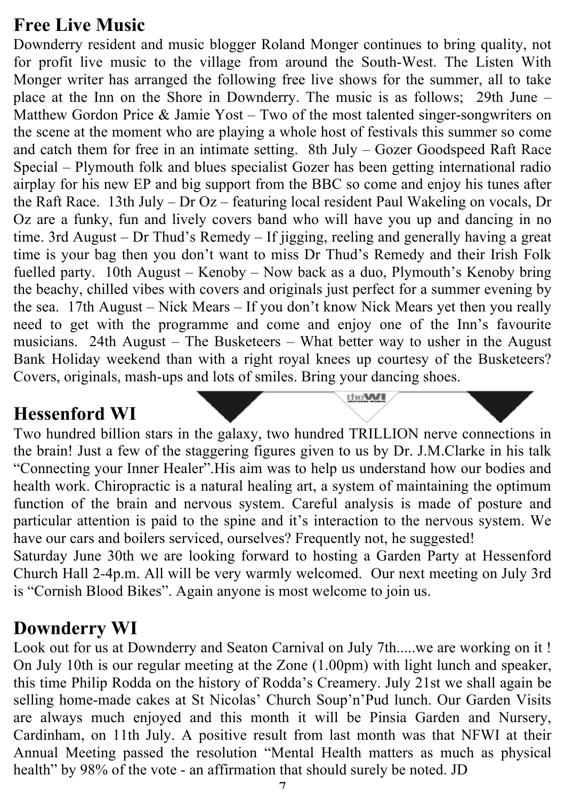#### **Free Live Music**

Downderry resident and music blogger Roland Monger continues to bring quality, not for profit live music to the village from around the South-West. The Listen With Monger writer has arranged the following free live shows for the summer, all to take place at the Inn on the Shore in Downderry. The music is as follows; 29th June – Matthew Gordon Price & Jamie Yost – Two of the most talented singer-songwriters on the scene at the moment who are playing a whole host of festivals this summer so come and catch them for free in an intimate setting. 8th July – Gozer Goodspeed Raft Race Special – Plymouth folk and blues specialist Gozer has been getting international radio airplay for his new EP and big support from the BBC so come and enjoy his tunes after the Raft Race. 13th July – Dr Oz – featuring local resident Paul Wakeling on vocals, Dr Oz are a funky, fun and lively covers band who will have you up and dancing in no time. 3rd August – Dr Thud's Remedy – If jigging, reeling and generally having a great time is your bag then you don't want to miss Dr Thud's Remedy and their Irish Folk fuelled party. 10th August – Kenoby – Now back as a duo, Plymouth's Kenoby bring the beachy, chilled vibes with covers and originals just perfect for a summer evening by the sea. 17th August – Nick Mears – If you don't know Nick Mears yet then you really need to get with the programme and come and enjoy one of the Inn's favourite musicians. 24th August – The Busketeers – What better way to usher in the August Bank Holiday weekend than with a right royal knees up courtesy of the Busketeers? Covers, originals, mash-ups and lots of smiles. Bring your dancing shoes.

#### **Hessenford WI**

Two hundred billion stars in the galaxy, two hundred TRILLION nerve connections in the brain! Just a few of the staggering figures given to us by Dr. J.M.Clarke in his talk "Connecting your Inner Healer".His aim was to help us understand how our bodies and health work. Chiropractic is a natural healing art, a system of maintaining the optimum function of the brain and nervous system. Careful analysis is made of posture and particular attention is paid to the spine and it's interaction to the nervous system. We have our cars and boilers serviced, ourselves? Frequently not, he suggested!

theWI

Saturday June 30th we are looking forward to hosting a Garden Party at Hessenford Church Hall 2-4p.m. All will be very warmly welcomed. Our next meeting on July 3rd is "Cornish Blood Bikes". Again anyone is most welcome to join us.

#### **Downderry WI**

Look out for us at Downderry and Seaton Carnival on July 7th.....we are working on it ! On July 10th is our regular meeting at the Zone (1.00pm) with light lunch and speaker, this time Philip Rodda on the history of Rodda's Creamery. July 21st we shall again be selling home-made cakes at St Nicolas' Church Soup'n'Pud lunch. Our Garden Visits are always much enjoyed and this month it will be Pinsia Garden and Nursery, Cardinham, on 11th July. A positive result from last month was that NFWI at their Annual Meeting passed the resolution "Mental Health matters as much as physical health" by 98% of the vote - an affirmation that should surely be noted. JD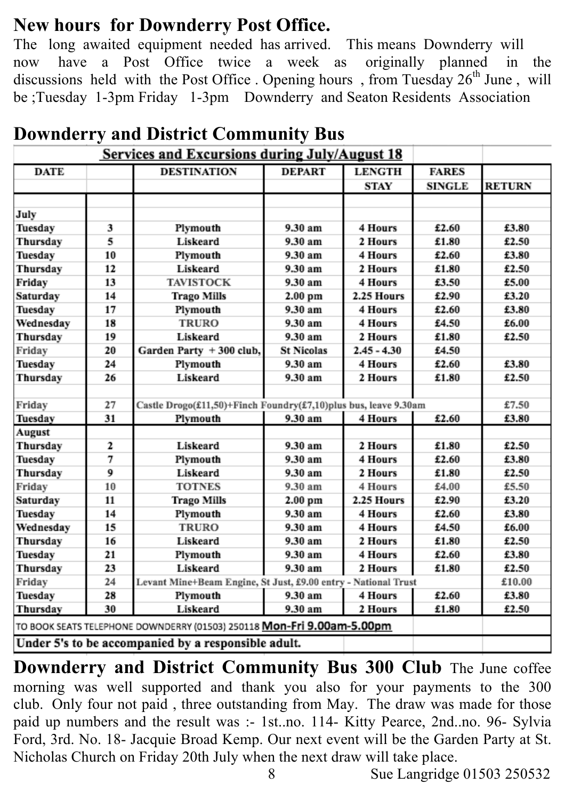#### **New hours for Downderry Post Office.**

The long awaited equipment needed has arrived. This means Downderry will now have a Post Office twice a week as originally planned in the discussions held with the Post Office . Opening hours, from Tuesday 26<sup>th</sup> June, will be ;Tuesday 1-3pm Friday 1-3pm Downderry and Seaton Residents Association

| $\frac{1}{2}$<br><b>Services and Excursions during July/August 18</b>  |    |                                                                 |                   |               |               |               |
|------------------------------------------------------------------------|----|-----------------------------------------------------------------|-------------------|---------------|---------------|---------------|
| <b>DATE</b>                                                            |    | <b>DESTINATION</b>                                              | <b>DEPART</b>     | <b>LENGTH</b> | <b>FARES</b>  |               |
|                                                                        |    |                                                                 |                   | STAY          | <b>SINGLE</b> | <b>RETURN</b> |
|                                                                        |    |                                                                 |                   |               |               |               |
| July                                                                   |    |                                                                 |                   |               |               |               |
| Tuesday                                                                | 3  | Plymouth                                                        | 9.30 am           | 4 Hours       | £2.60         | £3.80         |
| Thursday                                                               | 5  | Liskeard                                                        | 9.30 am           | 2 Hours       | £1.80         | £2.50         |
| Tuesday                                                                | 10 | Plymouth                                                        | 9.30 am           | 4 Hours       | £2.60         | £3.80         |
| Thursday                                                               | 12 | Liskeard                                                        | 9.30 am           | 2 Hours       | £1.80         | £2.50         |
| Friday                                                                 | 13 | <b>TAVISTOCK</b>                                                | 9.30 am           | 4 Hours       | £3.50         | £5.00         |
| Saturday                                                               | 14 | <b>Trago Mills</b>                                              | 2.00 pm           | 2.25 Hours    | £2.90         | £3.20         |
| Tuesday                                                                | 17 | Plymouth                                                        | 9.30 am           | 4 Hours       | £2.60         | £3.80         |
| Wednesday                                                              | 18 | <b>TRURO</b>                                                    | 9.30 am           | 4 Hours       | £4.50         | £6.00         |
| Thursday                                                               | 19 | Liskeard                                                        | 9.30 am           | 2 Hours       | £1.80         | £2.50         |
| Friday                                                                 | 20 | Garden Party + 300 club,                                        | <b>St Nicolas</b> | $2.45 - 4.30$ | £4.50         |               |
| Tuesday                                                                | 24 | Plymouth                                                        | 9.30 am           | 4 Hours       | £2.60         | £3.80         |
| Thursday                                                               | 26 | Liskeard                                                        | 9.30 am           | 2 Hours       | £1.80         | £2.50         |
|                                                                        |    |                                                                 |                   |               |               |               |
| Friday                                                                 | 27 | Castle Drogo(£11,50)+Finch Foundry(£7,10)plus bus, leave 9.30am |                   |               |               | £7.50         |
| Tuesday                                                                | 31 | Plymouth                                                        | 9.30 am           | 4 Hours       | £2.60         | £3.80         |
| August                                                                 |    |                                                                 |                   |               |               |               |
| Thursday                                                               | 2  | Liskeard                                                        | 9.30 am           | 2 Hours       | £1.80         | £2.50         |
| Tuesday                                                                | 7  | Plymouth                                                        | 9.30 am           | 4 Hours       | £2.60         | £3.80         |
| Thursday                                                               | 9  | Liskeard                                                        | 9.30 am           | 2 Hours       | £1.80         | £2.50         |
| Friday                                                                 | 10 | <b>TOTNES</b>                                                   | 9.30 am           | 4 Hours       | £4.00         | £5.50         |
| Saturday                                                               | 11 | <b>Trago Mills</b>                                              | 2.00 pm           | 2.25 Hours    | £2.90         | £3.20         |
| Tuesday                                                                | 14 | Plymouth                                                        | 9.30 am           | 4 Hours       | £2.60         | £3.80         |
| Wednesday                                                              | 15 | <b>TRURO</b>                                                    | 9.30 am           | 4 Hours       | £4.50         | £6.00         |
| Thursday                                                               | 16 | Liskeard                                                        | 9.30 am           | 2 Hours       | £1.80         | £2.50         |
| Tuesday                                                                | 21 | Plymouth                                                        | 9.30 am           | 4 Hours       | £2.60         | £3.80         |
| Thursday                                                               | 23 | Liskeard                                                        | 9.30 am           | 2 Hours       | £1.80         | £2.50         |
| Friday                                                                 | 24 | Levant Mine+Beam Engine, St Just, £9.00 entry - National Trust  |                   |               | £10.00        |               |
| Tuesday                                                                | 28 | Plymouth                                                        | 9.30 am           | 4 Hours       | £2.60         | £3.80         |
| Thursday                                                               | 30 | Liskeard                                                        | 9.30 am           | 2 Hours       | £1.80         | £2.50         |
| TO BOOK SEATS TELEPHONE DOWNDERRY (01503) 250118 Mon-Fri 9.00am-5.00pm |    |                                                                 |                   |               |               |               |
| Under 5's to be accompanied by a responsible adult.                    |    |                                                                 |                   |               |               |               |

#### **Downderry and District Community Bus**

**Downderry and District Community Bus 300 Club** The June coffee morning was well supported and thank you also for your payments to the 300 club. Only four not paid , three outstanding from May. The draw was made for those paid up numbers and the result was :- 1st..no. 114- Kitty Pearce, 2nd..no. 96- Sylvia Ford, 3rd. No. 18- Jacquie Broad Kemp. Our next event will be the Garden Party at St. Nicholas Church on Friday 20th July when the next draw will take place.

8 Sue Langridge 01503 250532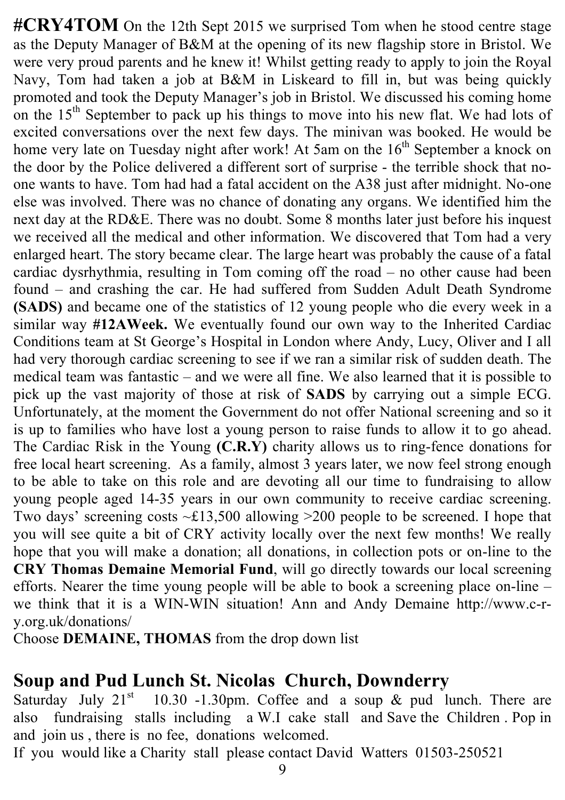#CRY4TOM On the 12th Sept 2015 we surprised Tom when he stood centre stage as the Deputy Manager of B&M at the opening of its new flagship store in Bristol. We were very proud parents and he knew it! Whilst getting ready to apply to join the Royal Navy, Tom had taken a job at B&M in Liskeard to fill in, but was being quickly promoted and took the Deputy Manager's job in Bristol. We discussed his coming home on the 15<sup>th</sup> September to pack up his things to move into his new flat. We had lots of excited conversations over the next few days. The minivan was booked. He would be home very late on Tuesday night after work! At 5am on the  $16<sup>th</sup>$  September a knock on the door by the Police delivered a different sort of surprise - the terrible shock that noone wants to have. Tom had had a fatal accident on the A38 just after midnight. No-one else was involved. There was no chance of donating any organs. We identified him the next day at the RD&E. There was no doubt. Some 8 months later just before his inquest we received all the medical and other information. We discovered that Tom had a very enlarged heart. The story became clear. The large heart was probably the cause of a fatal cardiac dysrhythmia, resulting in Tom coming off the road – no other cause had been found – and crashing the car. He had suffered from Sudden Adult Death Syndrome **(SADS)** and became one of the statistics of 12 young people who die every week in a similar way **#12AWeek.** We eventually found our own way to the Inherited Cardiac Conditions team at St George's Hospital in London where Andy, Lucy, Oliver and I all had very thorough cardiac screening to see if we ran a similar risk of sudden death. The medical team was fantastic – and we were all fine. We also learned that it is possible to pick up the vast majority of those at risk of **SADS** by carrying out a simple ECG. Unfortunately, at the moment the Government do not offer National screening and so it is up to families who have lost a young person to raise funds to allow it to go ahead. The Cardiac Risk in the Young **(C.R.Y)** charity allows us to ring-fence donations for free local heart screening. As a family, almost 3 years later, we now feel strong enough to be able to take on this role and are devoting all our time to fundraising to allow young people aged 14-35 years in our own community to receive cardiac screening. Two days' screening costs  $\sim$ £13,500 allowing  $>$ 200 people to be screened. I hope that you will see quite a bit of CRY activity locally over the next few months! We really hope that you will make a donation; all donations, in collection pots or on-line to the **CRY Thomas Demaine Memorial Fund**, will go directly towards our local screening efforts. Nearer the time young people will be able to book a screening place on-line – we think that it is a WIN-WIN situation! Ann and Andy Demaine http://www.c-ry.org.uk/donations/

Choose **DEMAINE, THOMAS** from the drop down list

#### **Soup and Pud Lunch St. Nicolas Church, Downderry**

Saturday July  $21^{st}$  10.30 -1.30pm. Coffee and a soup & pud lunch. There are also fundraising stalls including a W.I cake stall and Save the Children . Pop in and join us , there is no fee, donations welcomed.

If you would like a Charity stall please contact David Watters 01503-250521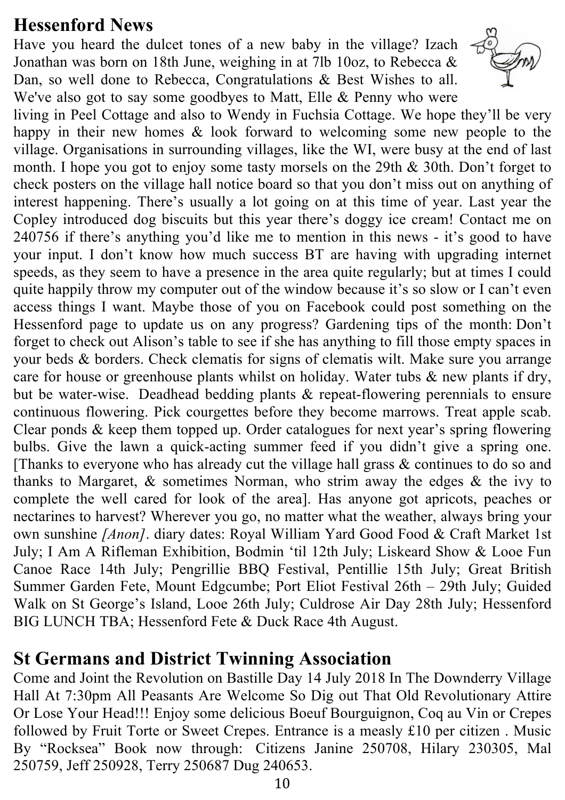#### **Hessenford News**

Have you heard the dulcet tones of a new baby in the village? Izach Jonathan was born on 18th June, weighing in at 7lb 10oz, to Rebecca & Dan, so well done to Rebecca, Congratulations & Best Wishes to all. We've also got to say some goodbyes to Matt, Elle & Penny who were



living in Peel Cottage and also to Wendy in Fuchsia Cottage. We hope they'll be very happy in their new homes & look forward to welcoming some new people to the village. Organisations in surrounding villages, like the WI, were busy at the end of last month. I hope you got to enjoy some tasty morsels on the 29th & 30th. Don't forget to check posters on the village hall notice board so that you don't miss out on anything of interest happening. There's usually a lot going on at this time of year. Last year the Copley introduced dog biscuits but this year there's doggy ice cream! Contact me on 240756 if there's anything you'd like me to mention in this news - it's good to have your input. I don't know how much success BT are having with upgrading internet speeds, as they seem to have a presence in the area quite regularly; but at times I could quite happily throw my computer out of the window because it's so slow or I can't even access things I want. Maybe those of you on Facebook could post something on the Hessenford page to update us on any progress? Gardening tips of the month: Don't forget to check out Alison's table to see if she has anything to fill those empty spaces in your beds & borders. Check clematis for signs of clematis wilt. Make sure you arrange care for house or greenhouse plants whilst on holiday. Water tubs & new plants if dry, but be water-wise. Deadhead bedding plants & repeat-flowering perennials to ensure continuous flowering. Pick courgettes before they become marrows. Treat apple scab. Clear ponds & keep them topped up. Order catalogues for next year's spring flowering bulbs. Give the lawn a quick-acting summer feed if you didn't give a spring one. [Thanks to everyone who has already cut the village hall grass & continues to do so and thanks to Margaret, & sometimes Norman, who strim away the edges & the ivy to complete the well cared for look of the area]. Has anyone got apricots, peaches or nectarines to harvest? Wherever you go, no matter what the weather, always bring your own sunshine *[Anon]*. diary dates: Royal William Yard Good Food & Craft Market 1st July; I Am A Rifleman Exhibition, Bodmin 'til 12th July; Liskeard Show & Looe Fun Canoe Race 14th July; Pengrillie BBQ Festival, Pentillie 15th July; Great British Summer Garden Fete, Mount Edgcumbe; Port Eliot Festival 26th – 29th July; Guided Walk on St George's Island, Looe 26th July; Culdrose Air Day 28th July; Hessenford BIG LUNCH TBA; Hessenford Fete & Duck Race 4th August.

#### **St Germans and District Twinning Association**

Come and Joint the Revolution on Bastille Day 14 July 2018 In The Downderry Village Hall At 7:30pm All Peasants Are Welcome So Dig out That Old Revolutionary Attire Or Lose Your Head!!! Enjoy some delicious Boeuf Bourguignon, Coq au Vin or Crepes followed by Fruit Torte or Sweet Crepes. Entrance is a measly £10 per citizen . Music By "Rocksea" Book now through: Citizens Janine 250708, Hilary 230305, Mal 250759, Jeff 250928, Terry 250687 Dug 240653.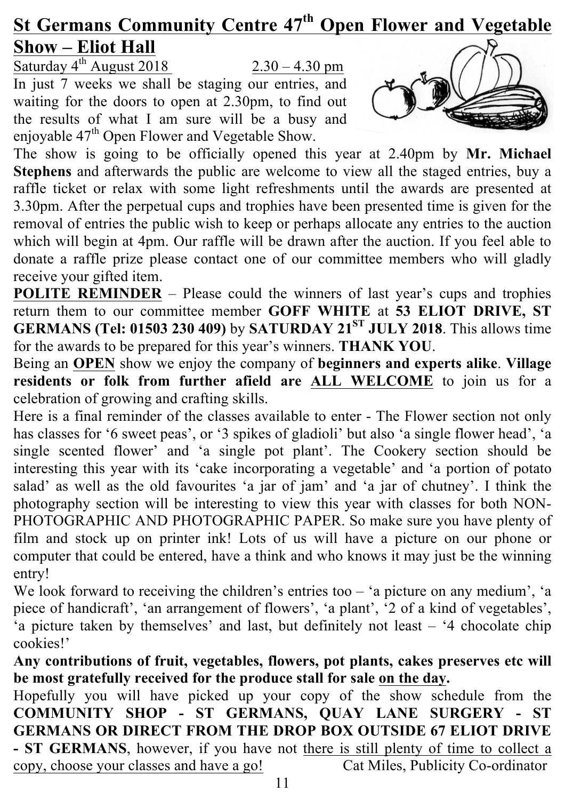# **St Germans Community Centre 47th Open Flower and Vegetable Show – Eliot Hall**

Saturday  $4^{\text{th}}$  August 2018 2.30 – 4.30 pm In just 7 weeks we shall be staging our entries, and waiting for the doors to open at 2.30pm, to find out the results of what I am sure will be a busy and enjoyable 47<sup>th</sup> Open Flower and Vegetable Show.



The show is going to be officially opened this year at 2.40pm by **Mr. Michael Stephens** and afterwards the public are welcome to view all the staged entries, buy a raffle ticket or relax with some light refreshments until the awards are presented at 3.30pm. After the perpetual cups and trophies have been presented time is given for the removal of entries the public wish to keep or perhaps allocate any entries to the auction which will begin at 4pm. Our raffle will be drawn after the auction. If you feel able to donate a raffle prize please contact one of our committee members who will gladly receive your gifted item.

**POLITE REMINDER** – Please could the winners of last year's cups and trophies return them to our committee member **GOFF WHITE** at **53 ELIOT DRIVE, ST GERMANS (Tel: 01503 230 409)** by **SATURDAY 21ST JULY 2018**. This allows time for the awards to be prepared for this year's winners. **THANK YOU**.

Being an **OPEN** show we enjoy the company of **beginners and experts alike**. **Village residents or folk from further afield are ALL WELCOME** to join us for a celebration of growing and crafting skills.

Here is a final reminder of the classes available to enter - The Flower section not only has classes for '6 sweet peas', or '3 spikes of gladioli' but also 'a single flower head', 'a single scented flower' and 'a single pot plant'. The Cookery section should be interesting this year with its 'cake incorporating a vegetable' and 'a portion of potato salad' as well as the old favourites 'a jar of jam' and 'a jar of chutney'. I think the photography section will be interesting to view this year with classes for both NON-PHOTOGRAPHIC AND PHOTOGRAPHIC PAPER. So make sure you have plenty of film and stock up on printer ink! Lots of us will have a picture on our phone or computer that could be entered, have a think and who knows it may just be the winning entry!

We look forward to receiving the children's entries too – 'a picture on any medium', 'a piece of handicraft', 'an arrangement of flowers', 'a plant', '2 of a kind of vegetables', 'a picture taken by themselves' and last, but definitely not least – '4 chocolate chip cookies!'

**Any contributions of fruit, vegetables, flowers, pot plants, cakes preserves etc will be most gratefully received for the produce stall for sale on the day.**

Hopefully you will have picked up your copy of the show schedule from the **COMMUNITY SHOP - ST GERMANS, QUAY LANE SURGERY - ST GERMANS OR DIRECT FROM THE DROP BOX OUTSIDE 67 ELIOT DRIVE - ST GERMANS**, however, if you have not there is still plenty of time to collect a copy, choose your classes and have a go! Cat Miles, Publicity Co-ordinator